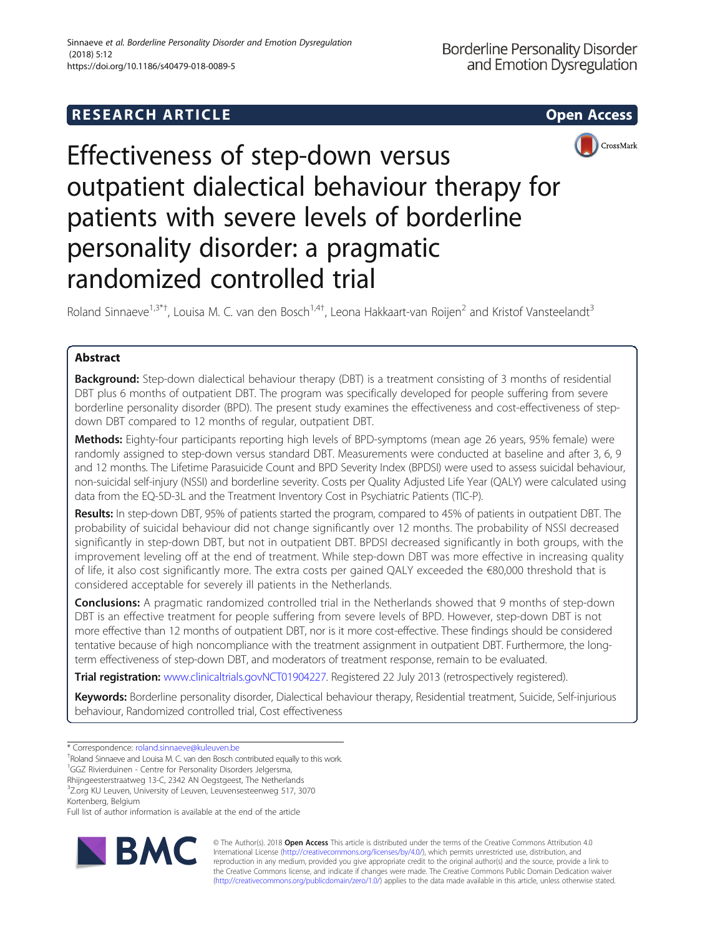## **RESEARCH ARTICLE Example 20 and 20 and 20 and 20 and 20 and 20 and 20 and 20 and 20 and 20 and 20 and 20 and 20 and 20 and 20 and 20 and 20 and 20 and 20 and 20 and 20 and 20 and 20 and 20 and 20 and 20 and 20 and 20 an**



# Effectiveness of step-down versus outpatient dialectical behaviour therapy for patients with severe levels of borderline personality disorder: a pragmatic randomized controlled trial

Roland Sinnaeve<sup>1,3\*†</sup>, Louisa M. C. van den Bosch<sup>1,4†</sup>, Leona Hakkaart-van Roijen<sup>2</sup> and Kristof Vansteelandt<sup>3</sup>

## Abstract

**Background:** Step-down dialectical behaviour therapy (DBT) is a treatment consisting of 3 months of residential DBT plus 6 months of outpatient DBT. The program was specifically developed for people suffering from severe borderline personality disorder (BPD). The present study examines the effectiveness and cost-effectiveness of stepdown DBT compared to 12 months of regular, outpatient DBT.

Methods: Eighty-four participants reporting high levels of BPD-symptoms (mean age 26 years, 95% female) were randomly assigned to step-down versus standard DBT. Measurements were conducted at baseline and after 3, 6, 9 and 12 months. The Lifetime Parasuicide Count and BPD Severity Index (BPDSI) were used to assess suicidal behaviour, non-suicidal self-injury (NSSI) and borderline severity. Costs per Quality Adjusted Life Year (QALY) were calculated using data from the EQ-5D-3L and the Treatment Inventory Cost in Psychiatric Patients (TIC-P).

Results: In step-down DBT, 95% of patients started the program, compared to 45% of patients in outpatient DBT. The probability of suicidal behaviour did not change significantly over 12 months. The probability of NSSI decreased significantly in step-down DBT, but not in outpatient DBT. BPDSI decreased significantly in both groups, with the improvement leveling off at the end of treatment. While step-down DBT was more effective in increasing quality of life, it also cost significantly more. The extra costs per gained QALY exceeded the €80,000 threshold that is considered acceptable for severely ill patients in the Netherlands.

**Conclusions:** A pragmatic randomized controlled trial in the Netherlands showed that 9 months of step-down DBT is an effective treatment for people suffering from severe levels of BPD. However, step-down DBT is not more effective than 12 months of outpatient DBT, nor is it more cost-effective. These findings should be considered tentative because of high noncompliance with the treatment assignment in outpatient DBT. Furthermore, the longterm effectiveness of step-down DBT, and moderators of treatment response, remain to be evaluated.

Trial registration: [www.clinicaltrials.gov](http://www.clinicaltrials.gov)[NCT01904227.](https://clinicaltrials.gov/ct2/show/NCT01904227) Registered 22 July 2013 (retrospectively registered).

Keywords: Borderline personality disorder, Dialectical behaviour therapy, Residential treatment, Suicide, Self-injurious behaviour, Randomized controlled trial, Cost effectiveness

\* Correspondence: [roland.sinnaeve@kuleuven.be](mailto:roland.sinnaeve@kuleuven.be) †

Rhijngeesterstraatweg 13-C, 2342 AN Oegstgeest, The Netherlands

<sup>3</sup>Z.org KU Leuven, University of Leuven, Leuvensesteenweg 517, 3070 Kortenberg, Belgium

Full list of author information is available at the end of the article



© The Author(s). 2018 Open Access This article is distributed under the terms of the Creative Commons Attribution 4.0 International License [\(http://creativecommons.org/licenses/by/4.0/](http://creativecommons.org/licenses/by/4.0/)), which permits unrestricted use, distribution, and reproduction in any medium, provided you give appropriate credit to the original author(s) and the source, provide a link to the Creative Commons license, and indicate if changes were made. The Creative Commons Public Domain Dedication waiver [\(http://creativecommons.org/publicdomain/zero/1.0/](http://creativecommons.org/publicdomain/zero/1.0/)) applies to the data made available in this article, unless otherwise stated.

Roland Sinnaeve and Louisa M. C. van den Bosch contributed equally to this work. <sup>1</sup>GGZ Rivierduinen - Centre for Personality Disorders Jelgersma,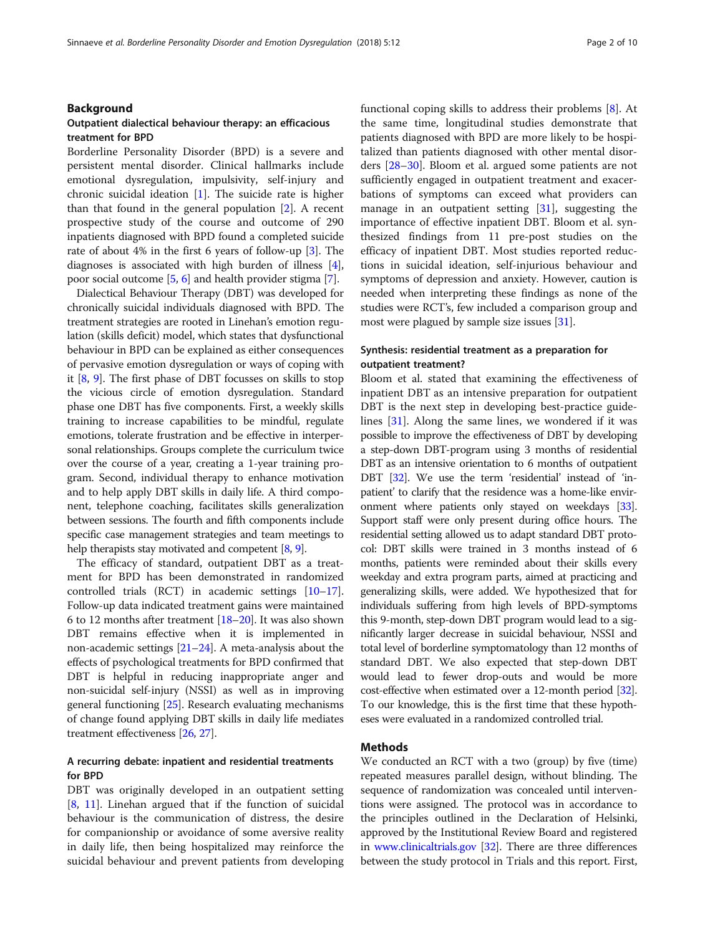## Background

## Outpatient dialectical behaviour therapy: an efficacious treatment for BPD

Borderline Personality Disorder (BPD) is a severe and persistent mental disorder. Clinical hallmarks include emotional dysregulation, impulsivity, self-injury and chronic suicidal ideation [[1\]](#page-8-0). The suicide rate is higher than that found in the general population [[2\]](#page-8-0). A recent prospective study of the course and outcome of 290 inpatients diagnosed with BPD found a completed suicide rate of about 4% in the first 6 years of follow-up [\[3](#page-8-0)]. The diagnoses is associated with high burden of illness [[4](#page-8-0)], poor social outcome [[5,](#page-8-0) [6](#page-8-0)] and health provider stigma [[7\]](#page-8-0).

Dialectical Behaviour Therapy (DBT) was developed for chronically suicidal individuals diagnosed with BPD. The treatment strategies are rooted in Linehan's emotion regulation (skills deficit) model, which states that dysfunctional behaviour in BPD can be explained as either consequences of pervasive emotion dysregulation or ways of coping with it [[8](#page-8-0), [9\]](#page-8-0). The first phase of DBT focusses on skills to stop the vicious circle of emotion dysregulation. Standard phase one DBT has five components. First, a weekly skills training to increase capabilities to be mindful, regulate emotions, tolerate frustration and be effective in interpersonal relationships. Groups complete the curriculum twice over the course of a year, creating a 1-year training program. Second, individual therapy to enhance motivation and to help apply DBT skills in daily life. A third component, telephone coaching, facilitates skills generalization between sessions. The fourth and fifth components include specific case management strategies and team meetings to help therapists stay motivated and competent [\[8,](#page-8-0) [9](#page-8-0)].

The efficacy of standard, outpatient DBT as a treatment for BPD has been demonstrated in randomized controlled trials (RCT) in academic settings [\[10](#page-8-0)–[17](#page-8-0)]. Follow-up data indicated treatment gains were maintained 6 to 12 months after treatment [[18](#page-8-0)–[20\]](#page-8-0). It was also shown DBT remains effective when it is implemented in non-academic settings [\[21](#page-8-0)–[24](#page-8-0)]. A meta-analysis about the effects of psychological treatments for BPD confirmed that DBT is helpful in reducing inappropriate anger and non-suicidal self-injury (NSSI) as well as in improving general functioning [[25](#page-8-0)]. Research evaluating mechanisms of change found applying DBT skills in daily life mediates treatment effectiveness [\[26,](#page-8-0) [27](#page-8-0)].

## A recurring debate: inpatient and residential treatments for BPD

DBT was originally developed in an outpatient setting [[8,](#page-8-0) [11](#page-8-0)]. Linehan argued that if the function of suicidal behaviour is the communication of distress, the desire for companionship or avoidance of some aversive reality in daily life, then being hospitalized may reinforce the suicidal behaviour and prevent patients from developing functional coping skills to address their problems [[8\]](#page-8-0). At the same time, longitudinal studies demonstrate that patients diagnosed with BPD are more likely to be hospitalized than patients diagnosed with other mental disorders [\[28](#page-8-0)–[30](#page-8-0)]. Bloom et al. argued some patients are not sufficiently engaged in outpatient treatment and exacerbations of symptoms can exceed what providers can manage in an outpatient setting [\[31\]](#page-8-0), suggesting the importance of effective inpatient DBT. Bloom et al. synthesized findings from 11 pre-post studies on the efficacy of inpatient DBT. Most studies reported reductions in suicidal ideation, self-injurious behaviour and symptoms of depression and anxiety. However, caution is needed when interpreting these findings as none of the studies were RCT's, few included a comparison group and most were plagued by sample size issues [\[31](#page-8-0)].

## Synthesis: residential treatment as a preparation for outpatient treatment?

Bloom et al. stated that examining the effectiveness of inpatient DBT as an intensive preparation for outpatient DBT is the next step in developing best-practice guidelines [[31](#page-8-0)]. Along the same lines, we wondered if it was possible to improve the effectiveness of DBT by developing a step-down DBT-program using 3 months of residential DBT as an intensive orientation to 6 months of outpatient DBT [\[32](#page-8-0)]. We use the term 'residential' instead of 'inpatient' to clarify that the residence was a home-like environment where patients only stayed on weekdays [\[33](#page-8-0)]. Support staff were only present during office hours. The residential setting allowed us to adapt standard DBT protocol: DBT skills were trained in 3 months instead of 6 months, patients were reminded about their skills every weekday and extra program parts, aimed at practicing and generalizing skills, were added. We hypothesized that for individuals suffering from high levels of BPD-symptoms this 9-month, step-down DBT program would lead to a significantly larger decrease in suicidal behaviour, NSSI and total level of borderline symptomatology than 12 months of standard DBT. We also expected that step-down DBT would lead to fewer drop-outs and would be more cost-effective when estimated over a 12-month period [\[32](#page-8-0)]. To our knowledge, this is the first time that these hypotheses were evaluated in a randomized controlled trial.

## Methods

We conducted an RCT with a two (group) by five (time) repeated measures parallel design, without blinding. The sequence of randomization was concealed until interventions were assigned. The protocol was in accordance to the principles outlined in the Declaration of Helsinki, approved by the Institutional Review Board and registered in [www.clinicaltrials.gov](http://www.clinicaltrials.gov) [\[32\]](#page-8-0). There are three differences between the study protocol in Trials and this report. First,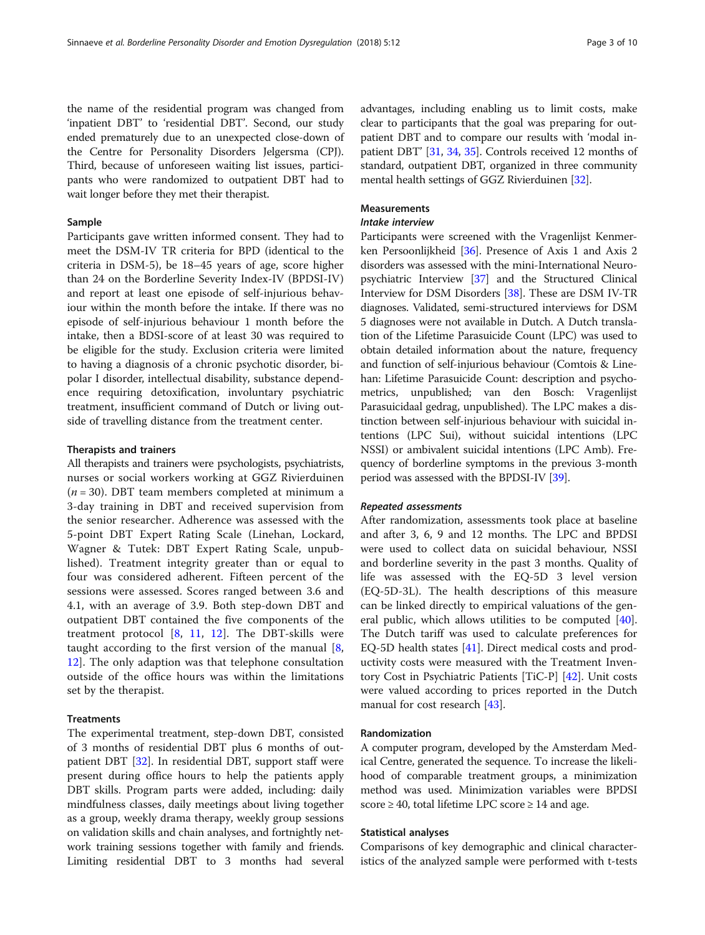the name of the residential program was changed from 'inpatient DBT' to 'residential DBT'. Second, our study ended prematurely due to an unexpected close-down of the Centre for Personality Disorders Jelgersma (CPJ). Third, because of unforeseen waiting list issues, participants who were randomized to outpatient DBT had to wait longer before they met their therapist.

#### Sample

Participants gave written informed consent. They had to meet the DSM-IV TR criteria for BPD (identical to the criteria in DSM-5), be 18–45 years of age, score higher than 24 on the Borderline Severity Index-IV (BPDSI-IV) and report at least one episode of self-injurious behaviour within the month before the intake. If there was no episode of self-injurious behaviour 1 month before the intake, then a BDSI-score of at least 30 was required to be eligible for the study. Exclusion criteria were limited to having a diagnosis of a chronic psychotic disorder, bipolar I disorder, intellectual disability, substance dependence requiring detoxification, involuntary psychiatric treatment, insufficient command of Dutch or living outside of travelling distance from the treatment center.

#### Therapists and trainers

All therapists and trainers were psychologists, psychiatrists, nurses or social workers working at GGZ Rivierduinen  $(n = 30)$ . DBT team members completed at minimum a 3-day training in DBT and received supervision from the senior researcher. Adherence was assessed with the 5-point DBT Expert Rating Scale (Linehan, Lockard, Wagner & Tutek: DBT Expert Rating Scale, unpublished). Treatment integrity greater than or equal to four was considered adherent. Fifteen percent of the sessions were assessed. Scores ranged between 3.6 and 4.1, with an average of 3.9. Both step-down DBT and outpatient DBT contained the five components of the treatment protocol  $[8, 11, 12]$  $[8, 11, 12]$  $[8, 11, 12]$  $[8, 11, 12]$  $[8, 11, 12]$  $[8, 11, 12]$ . The DBT-skills were taught according to the first version of the manual  $[8, 8]$  $[8, 8]$ [12\]](#page-8-0). The only adaption was that telephone consultation outside of the office hours was within the limitations set by the therapist.

## **Treatments**

The experimental treatment, step-down DBT, consisted of 3 months of residential DBT plus 6 months of outpatient DBT [[32\]](#page-8-0). In residential DBT, support staff were present during office hours to help the patients apply DBT skills. Program parts were added, including: daily mindfulness classes, daily meetings about living together as a group, weekly drama therapy, weekly group sessions on validation skills and chain analyses, and fortnightly network training sessions together with family and friends. Limiting residential DBT to 3 months had several advantages, including enabling us to limit costs, make clear to participants that the goal was preparing for outpatient DBT and to compare our results with 'modal inpatient DBT' [[31,](#page-8-0) [34](#page-8-0), [35](#page-9-0)]. Controls received 12 months of standard, outpatient DBT, organized in three community mental health settings of GGZ Rivierduinen [\[32\]](#page-8-0).

## Measurements

## Intake interview

Participants were screened with the Vragenlijst Kenmerken Persoonlijkheid [\[36\]](#page-9-0). Presence of Axis 1 and Axis 2 disorders was assessed with the mini-International Neuropsychiatric Interview [[37](#page-9-0)] and the Structured Clinical Interview for DSM Disorders [\[38\]](#page-9-0). These are DSM IV-TR diagnoses. Validated, semi-structured interviews for DSM 5 diagnoses were not available in Dutch. A Dutch translation of the Lifetime Parasuicide Count (LPC) was used to obtain detailed information about the nature, frequency and function of self-injurious behaviour (Comtois & Linehan: Lifetime Parasuicide Count: description and psychometrics, unpublished; van den Bosch: Vragenlijst Parasuicidaal gedrag, unpublished). The LPC makes a distinction between self-injurious behaviour with suicidal intentions (LPC Sui), without suicidal intentions (LPC NSSI) or ambivalent suicidal intentions (LPC Amb). Frequency of borderline symptoms in the previous 3-month period was assessed with the BPDSI-IV [\[39\]](#page-9-0).

#### Repeated assessments

After randomization, assessments took place at baseline and after 3, 6, 9 and 12 months. The LPC and BPDSI were used to collect data on suicidal behaviour, NSSI and borderline severity in the past 3 months. Quality of life was assessed with the EQ-5D 3 level version (EQ-5D-3L). The health descriptions of this measure can be linked directly to empirical valuations of the general public, which allows utilities to be computed [\[40](#page-9-0)]. The Dutch tariff was used to calculate preferences for EQ-5D health states [\[41](#page-9-0)]. Direct medical costs and productivity costs were measured with the Treatment Inventory Cost in Psychiatric Patients [TiC-P] [\[42](#page-9-0)]. Unit costs were valued according to prices reported in the Dutch manual for cost research [\[43\]](#page-9-0).

## Randomization

A computer program, developed by the Amsterdam Medical Centre, generated the sequence. To increase the likelihood of comparable treatment groups, a minimization method was used. Minimization variables were BPDSI score  $\geq$  40, total lifetime LPC score  $\geq$  14 and age.

#### Statistical analyses

Comparisons of key demographic and clinical characteristics of the analyzed sample were performed with t-tests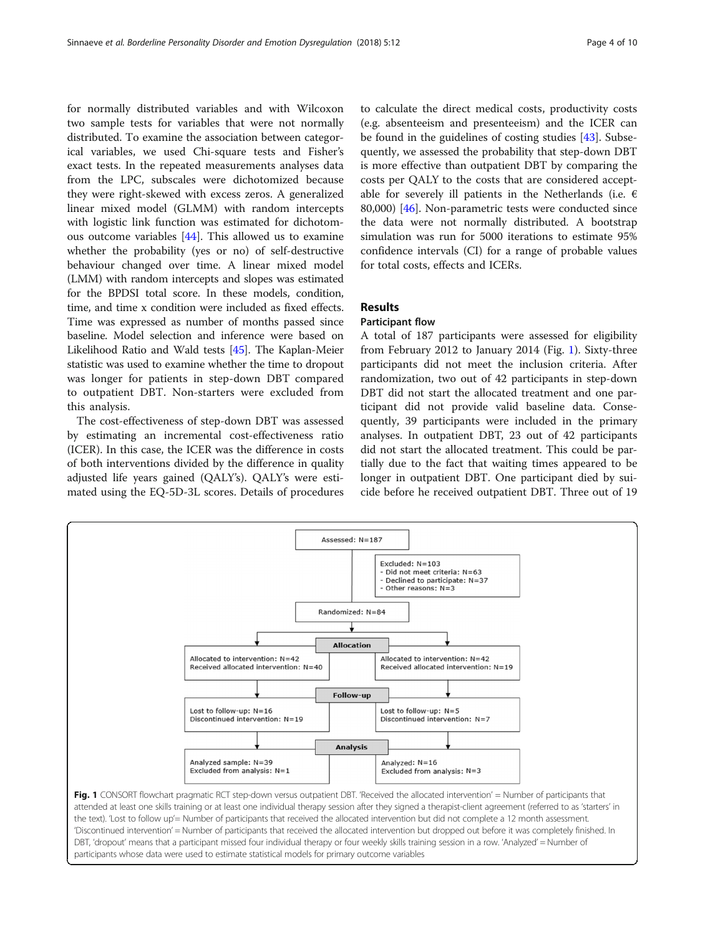for normally distributed variables and with Wilcoxon two sample tests for variables that were not normally distributed. To examine the association between categorical variables, we used Chi-square tests and Fisher's exact tests. In the repeated measurements analyses data from the LPC, subscales were dichotomized because they were right-skewed with excess zeros. A generalized linear mixed model (GLMM) with random intercepts with logistic link function was estimated for dichotomous outcome variables [\[44](#page-9-0)]. This allowed us to examine whether the probability (yes or no) of self-destructive behaviour changed over time. A linear mixed model (LMM) with random intercepts and slopes was estimated for the BPDSI total score. In these models, condition, time, and time x condition were included as fixed effects. Time was expressed as number of months passed since baseline. Model selection and inference were based on Likelihood Ratio and Wald tests [[45\]](#page-9-0). The Kaplan-Meier statistic was used to examine whether the time to dropout was longer for patients in step-down DBT compared to outpatient DBT. Non-starters were excluded from this analysis.

The cost-effectiveness of step-down DBT was assessed by estimating an incremental cost-effectiveness ratio (ICER). In this case, the ICER was the difference in costs of both interventions divided by the difference in quality adjusted life years gained (QALY's). QALY's were estimated using the EQ-5D-3L scores. Details of procedures

to calculate the direct medical costs, productivity costs (e.g. absenteeism and presenteeism) and the ICER can be found in the guidelines of costing studies [\[43\]](#page-9-0). Subsequently, we assessed the probability that step-down DBT is more effective than outpatient DBT by comparing the costs per QALY to the costs that are considered acceptable for severely ill patients in the Netherlands (i.e.  $\epsilon$ 80,000) [[46\]](#page-9-0). Non-parametric tests were conducted since the data were not normally distributed. A bootstrap simulation was run for 5000 iterations to estimate 95% confidence intervals (CI) for a range of probable values for total costs, effects and ICERs.

## Results

## Participant flow

A total of 187 participants were assessed for eligibility from February 2012 to January 2014 (Fig. 1). Sixty-three participants did not meet the inclusion criteria. After randomization, two out of 42 participants in step-down DBT did not start the allocated treatment and one participant did not provide valid baseline data. Consequently, 39 participants were included in the primary analyses. In outpatient DBT, 23 out of 42 participants did not start the allocated treatment. This could be partially due to the fact that waiting times appeared to be longer in outpatient DBT. One participant died by suicide before he received outpatient DBT. Three out of 19



attended at least one skills training or at least one individual therapy session after they signed a therapist-client agreement (referred to as 'starters' in the text). 'Lost to follow up'= Number of participants that received the allocated intervention but did not complete a 12 month assessment. 'Discontinued intervention' = Number of participants that received the allocated intervention but dropped out before it was completely finished. In DBT, 'dropout' means that a participant missed four individual therapy or four weekly skills training session in a row. 'Analyzed' = Number of participants whose data were used to estimate statistical models for primary outcome variables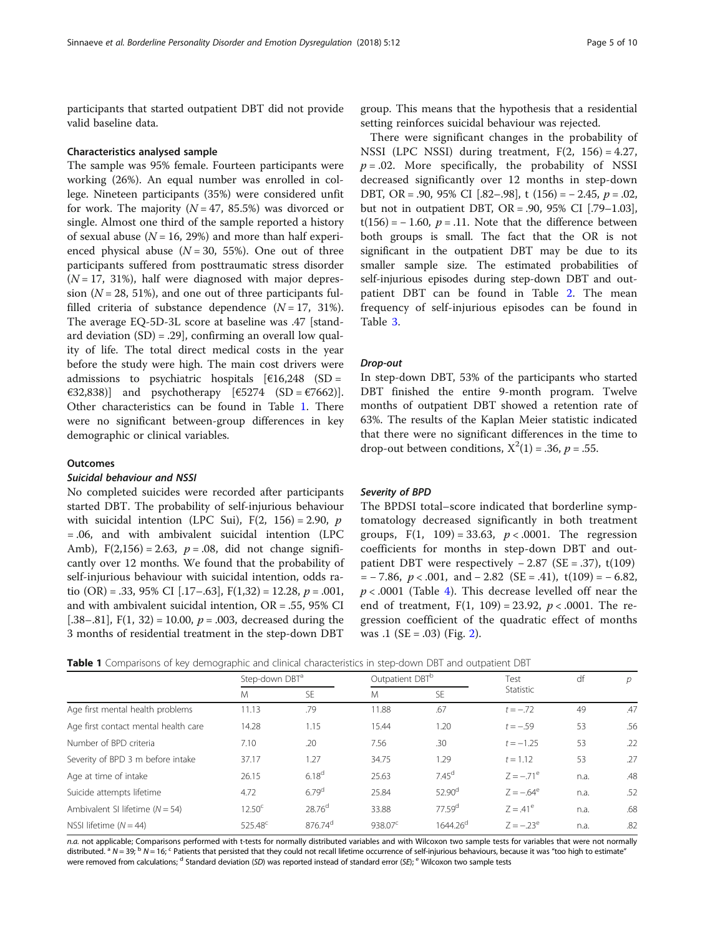participants that started outpatient DBT did not provide valid baseline data.

## Characteristics analysed sample

The sample was 95% female. Fourteen participants were working (26%). An equal number was enrolled in college. Nineteen participants (35%) were considered unfit for work. The majority  $(N = 47, 85.5%)$  was divorced or single. Almost one third of the sample reported a history of sexual abuse ( $N = 16$ , 29%) and more than half experienced physical abuse  $(N = 30, 55%)$ . One out of three participants suffered from posttraumatic stress disorder  $(N = 17, 31\%)$ , half were diagnosed with major depression ( $N = 28$ , 51%), and one out of three participants fulfilled criteria of substance dependence  $(N = 17, 31\%)$ . The average EQ-5D-3L score at baseline was .47 [standard deviation  $(SD) = .29$ , confirming an overall low quality of life. The total direct medical costs in the year before the study were high. The main cost drivers were admissions to psychiatric hospitals  $\text{\sf [€16,248 (SD =}$ €32,838)] and psychotherapy  $[€5274 (SD = €7662)].$ Other characteristics can be found in Table 1. There were no significant between-group differences in key demographic or clinical variables.

### **Outcomes**

## Suicidal behaviour and NSSI

No completed suicides were recorded after participants started DBT. The probability of self-injurious behaviour with suicidal intention (LPC Sui),  $F(2, 156) = 2.90$ , p = .06, and with ambivalent suicidal intention (LPC Amb),  $F(2,156) = 2.63$ ,  $p = .08$ , did not change significantly over 12 months. We found that the probability of self-injurious behaviour with suicidal intention, odds ratio  $(OR) = .33, 95\% \text{ CI}$  [.17–.63],  $F(1,32) = 12.28, p = .001$ , and with ambivalent suicidal intention, OR = .55, 95% CI [.38–.81],  $F(1, 32) = 10.00$ ,  $p = .003$ , decreased during the 3 months of residential treatment in the step-down DBT

group. This means that the hypothesis that a residential setting reinforces suicidal behaviour was rejected.

There were significant changes in the probability of NSSI (LPC NSSI) during treatment, F(2, 156) = 4.27,  $p = .02$ . More specifically, the probability of NSSI decreased significantly over 12 months in step-down DBT, OR = .90, 95% CI [.82–.98], t (156) = − 2.45, p = .02, but not in outpatient DBT, OR = .90, 95% CI [.79–1.03], t(156) =  $-1.60$ ,  $p = .11$ . Note that the difference between both groups is small. The fact that the OR is not significant in the outpatient DBT may be due to its smaller sample size. The estimated probabilities of self-injurious episodes during step-down DBT and outpatient DBT can be found in Table [2.](#page-5-0) The mean frequency of self-injurious episodes can be found in Table [3](#page-5-0).

#### Drop-out

In step-down DBT, 53% of the participants who started DBT finished the entire 9-month program. Twelve months of outpatient DBT showed a retention rate of 63%. The results of the Kaplan Meier statistic indicated that there were no significant differences in the time to drop-out between conditions,  $X^2(1) = .36$ ,  $p = .55$ .

#### Severity of BPD

The BPDSI total–score indicated that borderline symptomatology decreased significantly in both treatment groups, F(1, 109) = 33.63,  $p < .0001$ . The regression coefficients for months in step-down DBT and outpatient DBT were respectively  $-2.87$  (SE = .37), t(109)  $=$  -7.86,  $p < .001$ , and - 2.82 (SE = .41), t(109) = -6.82,  $p < .0001$  (Table [4\)](#page-5-0). This decrease levelled off near the end of treatment,  $F(1, 109) = 23.92$ ,  $p < .0001$ . The regression coefficient of the quadratic effect of months was  $.1$  (SE = .03) (Fig. [2](#page-6-0)).

|  | <b>Table 1</b> Comparisons of key demographic and clinical characteristics in step-down DBT and outpatient DBT |  |  |  |
|--|----------------------------------------------------------------------------------------------------------------|--|--|--|
|  |                                                                                                                |  |  |  |

|                                      | Step-down DBT <sup>a</sup> |                     | Outpatient DBT <sup>b</sup> |                      | Test                | df   | р   |
|--------------------------------------|----------------------------|---------------------|-----------------------------|----------------------|---------------------|------|-----|
|                                      | M                          | <b>SF</b>           | M                           | <b>SF</b>            | Statistic           |      |     |
| Age first mental health problems     | 11.13                      | .79                 | 11.88                       | .67                  | $t = -.72$          | 49   | .47 |
| Age first contact mental health care | 14.28                      | 1.15                | 15.44                       | .20                  | $t = -.59$          | 53   | .56 |
| Number of BPD criteria               | 7.10                       | .20                 | 7.56                        | .30                  | $t = -1.25$         | 53   | .22 |
| Severity of BPD 3 m before intake    | 37.17                      | .27                 | 34.75                       | .29                  | $t = 1.12$          | 53   | .27 |
| Age at time of intake                | 26.15                      | 6.18 <sup>d</sup>   | 25.63                       | 7.45 <sup>d</sup>    | $7 = -.71^{\circ}$  | n.a. | .48 |
| Suicide attempts lifetime            | 4.72                       | 6.79 <sup>d</sup>   | 25.84                       | $52.90^{d}$          | $7 = -0.64^{\circ}$ | n.a. | .52 |
| Ambivalent SI lifetime ( $N = 54$ )  | $12.50^{\circ}$            | 28.76 <sup>d</sup>  | 33.88                       | $77.59$ <sup>d</sup> | $7 = .41^e$         | n.a. | .68 |
| NSSI lifetime $(N = 44)$             | $525.48^c$                 | 876.74 <sup>d</sup> | $938.07^{\circ}$            | $1644.26^{\circ}$    | $7 = -23^e$         | n.a. | .82 |

n.a. not applicable; Comparisons performed with t-tests for normally distributed variables and with Wilcoxon two sample tests for variables that were not normally distributed.  $^{\text{a}}$  N = 39;  $^{\text{b}}$  N = 16;  $^{\text{c}}$  Patients that persisted that they could not recall lifetime occurrence of self-injurious behaviours, because it was "too high to estimate" were removed from calculations; <sup>d</sup> Standard deviation (SD) was reported instead of standard error (SE); <sup>e</sup> Wilcoxon two sample tests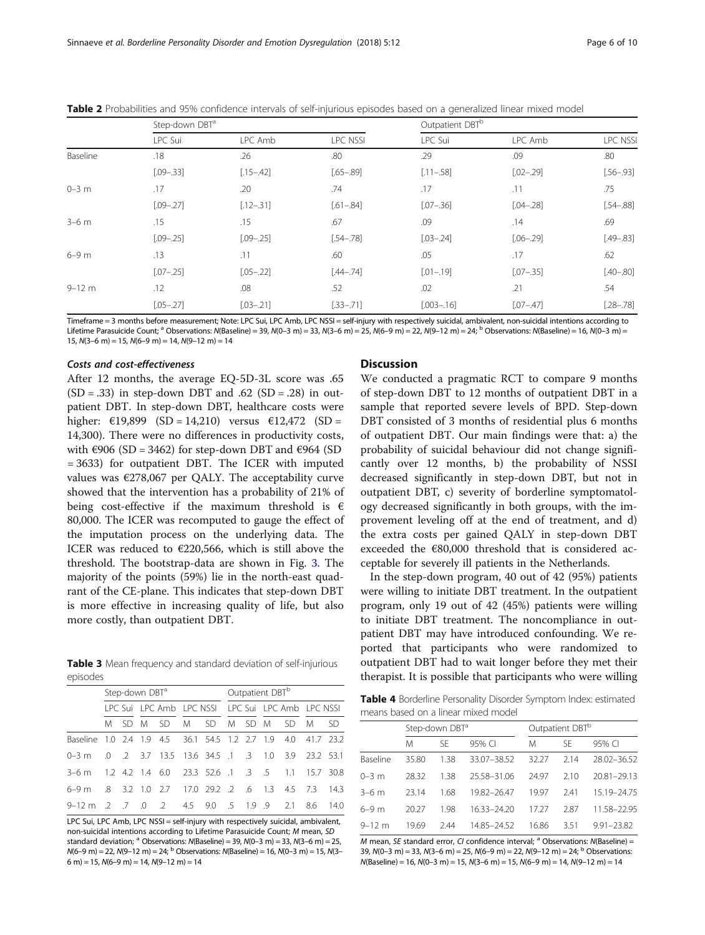|            | Step-down DBT <sup>a</sup> |               |                 | Outpatient DBT <sup>b</sup> |               |                 |  |  |
|------------|----------------------------|---------------|-----------------|-----------------------------|---------------|-----------------|--|--|
|            | LPC Sui                    | LPC Amb       | <b>LPC NSSI</b> | LPC Sui                     | LPC Amb       | <b>LPC NSSI</b> |  |  |
| Baseline   | .18                        | .26           | .80             | .29                         | .09           | .80             |  |  |
|            | $[.09 - .33]$              | $[.15 - .42]$ | $[.65 - .89]$   | $[.11 - .58]$               | $[.02 - .29]$ | $[.56 - .93]$   |  |  |
| $0 - 3$ m  | .17                        | .20           | .74             | .17                         | .11           | .75             |  |  |
|            | $[.09 - .27]$              | $[.12-.31]$   | $[.61 - .84]$   | $[.07 - .36]$               | $[.04 - .28]$ | $[.54 - .88]$   |  |  |
| $3-6$ m    | .15                        | .15           | .67             | .09                         | .14           | .69             |  |  |
|            | $[.09 - .25]$              | $[.09 - .25]$ | $[.54 - .78]$   | $[.03 - .24]$               | $[.06 - .29]$ | $[.49 - .83]$   |  |  |
| $6-9m$     | .13                        | .11           | .60             | .05                         | .17           | .62             |  |  |
|            | $[.07 - .25]$              | $[.05 - .22]$ | $[.44 - .74]$   | $[.01 - .19]$               | $[.07 - .35]$ | $[.40 - .80]$   |  |  |
| $9 - 12$ m | .12                        | .08           | .52             | .02                         | .21           | .54             |  |  |
|            | $[.05 - .27]$              | $[.03 - .21]$ | $[.33 - .71]$   | $[.003 - .16]$              | $[.07 - .47]$ | $[.28 - .78]$   |  |  |

<span id="page-5-0"></span>Table 2 Probabilities and 95% confidence intervals of self-injurious episodes based on a generalized linear mixed model

Timeframe = 3 months before measurement; Note: LPC Sui, LPC Amb, LPC NSSI = self-injury with respectively suicidal, ambivalent, non-suicidal intentions according to Lifetime Parasuicide Count; <sup>a</sup> Observations: N(Baseline) = 39, N(0-3 m) = 33, N(3-6 m) = 25, N(6-9 m) = 22, N(9-12 m) = 24; <sup>b</sup> Observations: N(Baseline) = 16, N(0-3 m) = 15,  $N(3-6 \text{ m}) = 15$ ,  $N(6-9 \text{ m}) = 14$ ,  $N(9-12 \text{ m}) = 14$ 

#### Costs and cost-effectiveness

After 12 months, the average EQ-5D-3L score was .65  $(SD = .33)$  in step-down DBT and  $.62$   $(SD = .28)$  in outpatient DBT. In step-down DBT, healthcare costs were higher:  $\epsilon$ 19,899 (SD = 14,210) versus  $\epsilon$ 12,472 (SD = 14,300). There were no differences in productivity costs, with  $\epsilon$ 906 (SD = 3462) for step-down DBT and  $\epsilon$ 964 (SD = 3633) for outpatient DBT. The ICER with imputed values was  $\epsilon$ 278,067 per QALY. The acceptability curve showed that the intervention has a probability of 21% of being cost-effective if the maximum threshold is  $\epsilon$ 80,000. The ICER was recomputed to gauge the effect of the imputation process on the underlying data. The ICER was reduced to €220,566, which is still above the threshold. The bootstrap-data are shown in Fig. [3](#page-6-0). The majority of the points (59%) lie in the north-east quadrant of the CE-plane. This indicates that step-down DBT is more effective in increasing quality of life, but also more costly, than outpatient DBT.

Table 3 Mean frequency and standard deviation of self-injurious episodes

|                                                              | Step-down DBT <sup>a</sup> |  |      |                                                 |                                                   |  |  | Outpatient DBT <sup>b</sup> |  |      |               |      |  |
|--------------------------------------------------------------|----------------------------|--|------|-------------------------------------------------|---------------------------------------------------|--|--|-----------------------------|--|------|---------------|------|--|
|                                                              |                            |  |      |                                                 | LPC Sui LPC Amb LPC NSSI LPC Sui LPC Amb LPC NSSI |  |  |                             |  |      |               |      |  |
|                                                              | M                          |  | SD M | -SD                                             | M SD M SD M                                       |  |  |                             |  | SD M |               | - SD |  |
| Baseline 1.0 2.4 1.9 4.5 36.1 54.5 1.2 2.7 1.9 4.0 41.7 23.2 |                            |  |      |                                                 |                                                   |  |  |                             |  |      |               |      |  |
| $0 - 3$ m                                                    |                            |  |      | 0 .2 3.7 13.5 13.6 34.5 .1 .3 1.0 3.9 23.2 53.1 |                                                   |  |  |                             |  |      |               |      |  |
| $3-6$ m                                                      |                            |  |      | 1.2 4.2 1.4 6.0 23.3 52.6 1 .3 .5               |                                                   |  |  |                             |  |      | 1.1 15.7 30.8 |      |  |
| $6-9$ m                                                      |                            |  |      | 8 32 1.0 2.7 17.0 29.2 2 6 1.3 4.5 7.3 14.3     |                                                   |  |  |                             |  |      |               |      |  |
| 9–12 m .2 .7 .0 .2 4.5 9.0 .5 1.9 .9 2.1 8.6 14.0            |                            |  |      |                                                 |                                                   |  |  |                             |  |      |               |      |  |

LPC Sui, LPC Amb, LPC NSSI = self-injury with respectively suicidal, ambivalent, non-suicidal intentions according to Lifetime Parasuicide Count; M mean, SD standard deviation; <sup>a</sup> Observations:  $N(Baseline) = 39$ ,  $N(0-3$  m $) = 33$ ,  $N(3-6$  m $) = 25$ ,  $N(6-9 \text{ m}) = 22$ ,  $N(9-12 \text{ m}) = 24$ ; <sup>b</sup> Observations:  $N(Baseline) = 16$ ,  $N(0-3 \text{ m}) = 15$ ,  $N(3-12 \text{ m})$ 6 m) = 15,  $N(6-9$  m) = 14,  $N(9-12$  m) = 14

## **Discussion**

We conducted a pragmatic RCT to compare 9 months of step-down DBT to 12 months of outpatient DBT in a sample that reported severe levels of BPD. Step-down DBT consisted of 3 months of residential plus 6 months of outpatient DBT. Our main findings were that: a) the probability of suicidal behaviour did not change significantly over 12 months, b) the probability of NSSI decreased significantly in step-down DBT, but not in outpatient DBT, c) severity of borderline symptomatology decreased significantly in both groups, with the improvement leveling off at the end of treatment, and d) the extra costs per gained QALY in step-down DBT exceeded the €80,000 threshold that is considered acceptable for severely ill patients in the Netherlands.

In the step-down program, 40 out of 42 (95%) patients were willing to initiate DBT treatment. In the outpatient program, only 19 out of 42 (45%) patients were willing to initiate DBT treatment. The noncompliance in outpatient DBT may have introduced confounding. We reported that participants who were randomized to outpatient DBT had to wait longer before they met their therapist. It is possible that participants who were willing

Table 4 Borderline Personality Disorder Symptom Index: estimated means based on a linear mixed model

|            |       | Step-down DBT <sup>a</sup> |             | Outpatient DBT <sup>b</sup> |      |                |  |  |
|------------|-------|----------------------------|-------------|-----------------------------|------|----------------|--|--|
|            | M     | <b>SF</b>                  | 95% CI      | M                           | SF   | 95% CI         |  |  |
| Baseline   | 35.80 | 1.38                       | 33.07-38.52 | 32.27                       | 214  | 28.02-36.52    |  |  |
| $0 - 3$ m  | 28.32 | 1.38                       | 25.58-31.06 | 24.97                       | 2.10 | 20.81-29.13    |  |  |
| $3-6$ m    | 23.14 | 1.68                       | 19.82-26.47 | 1997                        | 2.41 | 15.19 - 24.75  |  |  |
| $6 - 9$ m  | 20.27 | 1.98                       | 16.33-24.20 | 17.27                       | 2.87 | 11.58-22.95    |  |  |
| $9 - 12$ m | 19.69 | 2.44                       | 14.85-24.52 | 16.86                       | 3.51 | $9.91 - 23.82$ |  |  |

M mean, SE standard error, CI confidence interval;  $a$  Observations: N(Baseline) = 39,  $N(0-3 \text{ m}) = 33$ ,  $N(3-6 \text{ m}) = 25$ ,  $N(6-9 \text{ m}) = 22$ ,  $N(9-12 \text{ m}) = 24$ ; <sup>b</sup> Observations:  $N(Baseline) = 16$ ,  $N(0-3$  m) = 15,  $N(3-6$  m) = 15,  $N(6-9$  m) = 14,  $N(9-12$  m) = 14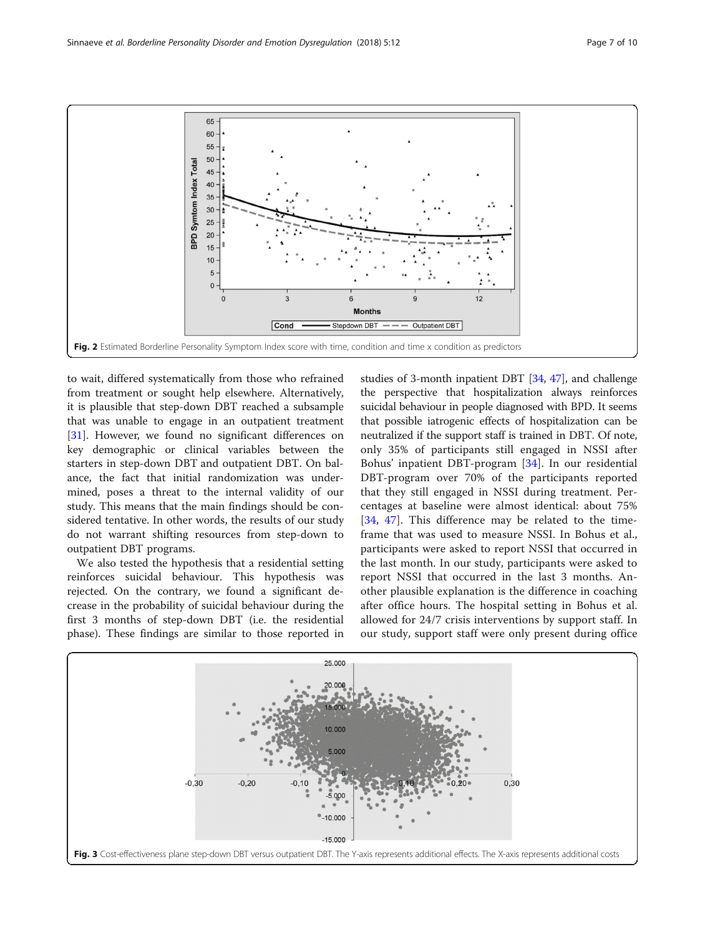to wait, differed systematically from those who refrained from treatment or sought help elsewhere. Alternatively, it is plausible that step-down DBT reached a subsample that was unable to engage in an outpatient treatment [[31\]](#page-8-0). However, we found no significant differences on key demographic or clinical variables between the starters in step-down DBT and outpatient DBT. On balance, the fact that initial randomization was undermined, poses a threat to the internal validity of our study. This means that the main findings should be considered tentative. In other words, the results of our study do not warrant shifting resources from step-down to outpatient DBT programs.

We also tested the hypothesis that a residential setting reinforces suicidal behaviour. This hypothesis was rejected. On the contrary, we found a significant decrease in the probability of suicidal behaviour during the first 3 months of step-down DBT (i.e. the residential phase). These findings are similar to those reported in

studies of 3-month inpatient DBT [[34](#page-8-0), [47\]](#page-9-0), and challenge the perspective that hospitalization always reinforces suicidal behaviour in people diagnosed with BPD. It seems that possible iatrogenic effects of hospitalization can be neutralized if the support staff is trained in DBT. Of note, only 35% of participants still engaged in NSSI after Bohus' inpatient DBT-program [\[34](#page-8-0)]. In our residential DBT-program over 70% of the participants reported that they still engaged in NSSI during treatment. Percentages at baseline were almost identical: about 75% [[34,](#page-8-0) [47](#page-9-0)]. This difference may be related to the timeframe that was used to measure NSSI. In Bohus et al., participants were asked to report NSSI that occurred in the last month. In our study, participants were asked to report NSSI that occurred in the last 3 months. Another plausible explanation is the difference in coaching after office hours. The hospital setting in Bohus et al. allowed for 24/7 crisis interventions by support staff. In our study, support staff were only present during office

 $12$ 

Outpatient DBT



6

Stepdown DBT

**Months** 

3

Cond



25,000

Fig. 3 Cost-effectiveness plane step-down DBT versus outpatient DBT. The Y-axis represents additional effects. The X-axis represents additional costs

<span id="page-6-0"></span>BPD Symtom Index Total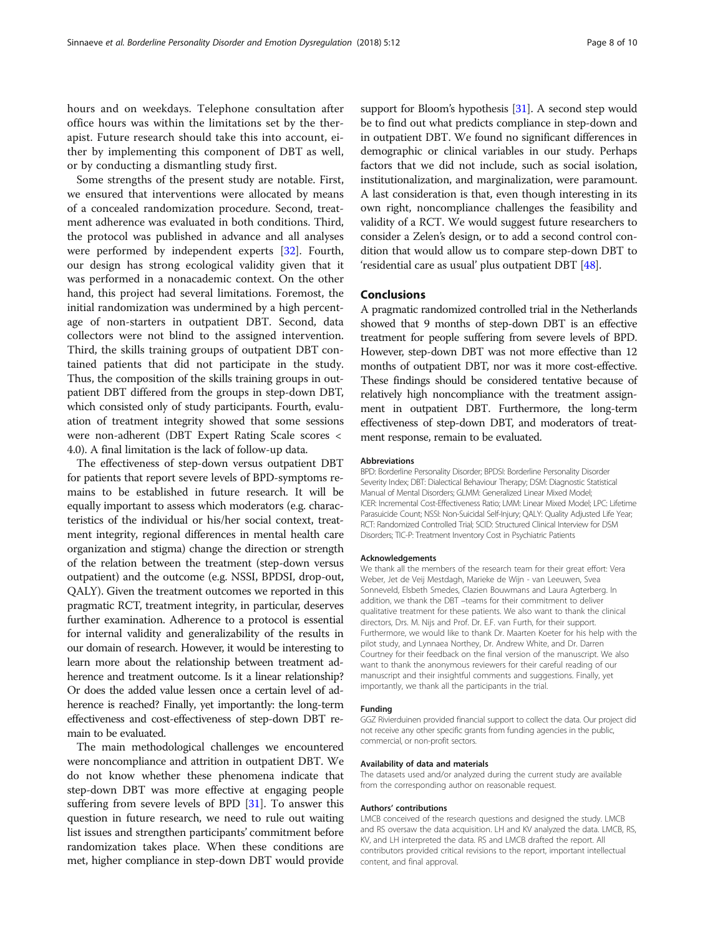hours and on weekdays. Telephone consultation after office hours was within the limitations set by the therapist. Future research should take this into account, either by implementing this component of DBT as well, or by conducting a dismantling study first.

Some strengths of the present study are notable. First, we ensured that interventions were allocated by means of a concealed randomization procedure. Second, treatment adherence was evaluated in both conditions. Third, the protocol was published in advance and all analyses were performed by independent experts [[32\]](#page-8-0). Fourth, our design has strong ecological validity given that it was performed in a nonacademic context. On the other hand, this project had several limitations. Foremost, the initial randomization was undermined by a high percentage of non-starters in outpatient DBT. Second, data collectors were not blind to the assigned intervention. Third, the skills training groups of outpatient DBT contained patients that did not participate in the study. Thus, the composition of the skills training groups in outpatient DBT differed from the groups in step-down DBT, which consisted only of study participants. Fourth, evaluation of treatment integrity showed that some sessions were non-adherent (DBT Expert Rating Scale scores < 4.0). A final limitation is the lack of follow-up data.

The effectiveness of step-down versus outpatient DBT for patients that report severe levels of BPD-symptoms remains to be established in future research. It will be equally important to assess which moderators (e.g. characteristics of the individual or his/her social context, treatment integrity, regional differences in mental health care organization and stigma) change the direction or strength of the relation between the treatment (step-down versus outpatient) and the outcome (e.g. NSSI, BPDSI, drop-out, QALY). Given the treatment outcomes we reported in this pragmatic RCT, treatment integrity, in particular, deserves further examination. Adherence to a protocol is essential for internal validity and generalizability of the results in our domain of research. However, it would be interesting to learn more about the relationship between treatment adherence and treatment outcome. Is it a linear relationship? Or does the added value lessen once a certain level of adherence is reached? Finally, yet importantly: the long-term effectiveness and cost-effectiveness of step-down DBT remain to be evaluated.

The main methodological challenges we encountered were noncompliance and attrition in outpatient DBT. We do not know whether these phenomena indicate that step-down DBT was more effective at engaging people suffering from severe levels of BPD [\[31\]](#page-8-0). To answer this question in future research, we need to rule out waiting list issues and strengthen participants' commitment before randomization takes place. When these conditions are met, higher compliance in step-down DBT would provide support for Bloom's hypothesis [[31](#page-8-0)]. A second step would be to find out what predicts compliance in step-down and in outpatient DBT. We found no significant differences in demographic or clinical variables in our study. Perhaps factors that we did not include, such as social isolation, institutionalization, and marginalization, were paramount. A last consideration is that, even though interesting in its own right, noncompliance challenges the feasibility and validity of a RCT. We would suggest future researchers to consider a Zelen's design, or to add a second control condition that would allow us to compare step-down DBT to 'residential care as usual' plus outpatient DBT [[48](#page-9-0)].

## Conclusions

A pragmatic randomized controlled trial in the Netherlands showed that 9 months of step-down DBT is an effective treatment for people suffering from severe levels of BPD. However, step-down DBT was not more effective than 12 months of outpatient DBT, nor was it more cost-effective. These findings should be considered tentative because of relatively high noncompliance with the treatment assignment in outpatient DBT. Furthermore, the long-term effectiveness of step-down DBT, and moderators of treatment response, remain to be evaluated.

#### Abbreviations

BPD: Borderline Personality Disorder; BPDSI: Borderline Personality Disorder Severity Index; DBT: Dialectical Behaviour Therapy; DSM: Diagnostic Statistical Manual of Mental Disorders; GLMM: Generalized Linear Mixed Model; ICER: Incremental Cost-Effectiveness Ratio; LMM: Linear Mixed Model; LPC: Lifetime Parasuicide Count; NSSI: Non-Suicidal Self-Injury; QALY: Quality Adjusted Life Year; RCT: Randomized Controlled Trial; SCID: Structured Clinical Interview for DSM Disorders; TIC-P: Treatment Inventory Cost in Psychiatric Patients

#### Acknowledgements

We thank all the members of the research team for their great effort: Vera Weber, Jet de Veij Mestdagh, Marieke de Wijn - van Leeuwen, Svea Sonneveld, Elsbeth Smedes, Clazien Bouwmans and Laura Agterberg. In addition, we thank the DBT –teams for their commitment to deliver qualitative treatment for these patients. We also want to thank the clinical directors, Drs. M. Nijs and Prof. Dr. E.F. van Furth, for their support. Furthermore, we would like to thank Dr. Maarten Koeter for his help with the pilot study, and Lynnaea Northey, Dr. Andrew White, and Dr. Darren Courtney for their feedback on the final version of the manuscript. We also want to thank the anonymous reviewers for their careful reading of our manuscript and their insightful comments and suggestions. Finally, yet importantly, we thank all the participants in the trial.

#### Funding

GGZ Rivierduinen provided financial support to collect the data. Our project did not receive any other specific grants from funding agencies in the public, commercial, or non-profit sectors.

#### Availability of data and materials

The datasets used and/or analyzed during the current study are available from the corresponding author on reasonable request.

#### Authors' contributions

LMCB conceived of the research questions and designed the study. LMCB and RS oversaw the data acquisition. LH and KV analyzed the data. LMCB, RS, KV, and LH interpreted the data. RS and LMCB drafted the report. All contributors provided critical revisions to the report, important intellectual content, and final approval.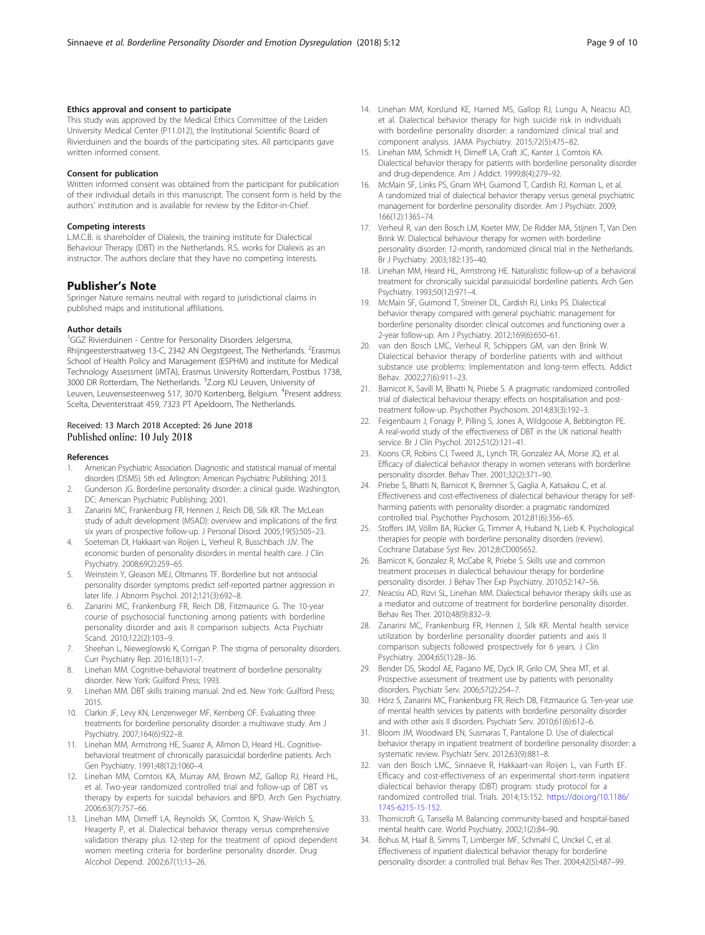#### <span id="page-8-0"></span>Ethics approval and consent to participate

This study was approved by the Medical Ethics Committee of the Leiden University Medical Center (P11.012), the Institutional Scientific Board of Rivierduinen and the boards of the participating sites. All participants gave written informed consent.

#### Consent for publication

Written informed consent was obtained from the participant for publication of their individual details in this manuscript. The consent form is held by the authors' institution and is available for review by the Editor-in-Chief.

#### Competing interests

L.M.C.B. is shareholder of Dialexis, the training institute for Dialectical Behaviour Therapy (DBT) in the Netherlands. R.S. works for Dialexis as an instructor. The authors declare that they have no competing interests.

#### Publisher's Note

Springer Nature remains neutral with regard to jurisdictional claims in published maps and institutional affiliations.

#### Author details

<sup>1</sup>GGZ Rivierduinen - Centre for Personality Disorders Jelgersma, Rhijngeesterstraatweg 13-C, 2342 AN Oegstgeest, The Netherlands. <sup>2</sup>Erasmus School of Health Policy and Management (ESPHM) and institute for Medical Technology Assessment (iMTA), Erasmus University Rotterdam, Postbus 1738, 3000 DR Rotterdam, The Netherlands. <sup>3</sup>Z.org KU Leuven, University of Leuven, Leuvensesteenweg 517, 3070 Kortenberg, Belgium. <sup>4</sup>Present address: Scelta, Deventerstraat 459, 7323 PT Apeldoorn, The Netherlands.

#### Received: 13 March 2018 Accepted: 26 June 2018 Published online: 10 July 2018

#### References

- 1. American Psychiatric Association. Diagnostic and statistical manual of mental disorders (DSM5). 5th ed. Arlington: American Psychiatric Publishing; 2013.
- 2. Gunderson JG. Borderline personality disorder: a clinical guide. Washington, DC: American Psychiatric Publishing; 2001.
- 3. Zanarini MC, Frankenburg FR, Hennen J, Reich DB, Silk KR. The McLean study of adult development (MSAD): overview and implications of the first six years of prospective follow-up. J Personal Disord. 2005;19(5):505–23.
- 4. Soeteman DI, Hakkaart-van Roijen L, Verheul R, Busschbach JJV. The economic burden of personality disorders in mental health care. J Clin Psychiatry. 2008;69(2):259–65.
- 5. Weinstein Y, Gleason MEJ, Oltmanns TF. Borderline but not antisocial personality disorder symptoms predict self-reported partner aggression in later life. J Abnorm Psychol. 2012;121(3):692–8.
- 6. Zanarini MC, Frankenburg FR, Reich DB, Fitzmaurice G. The 10-year course of psychosocial functioning among patients with borderline personality disorder and axis II comparison subjects. Acta Psychiatr Scand. 2010;122(2):103–9.
- 7. Sheehan L, Nieweglowski K, Corrigan P. The stigma of personality disorders. Curr Psychiatry Rep. 2016;18(1):1–7.
- Linehan MM. Cognitive-behavioral treatment of borderline personality disorder. New York: Guilford Press; 1993.
- 9. Linehan MM. DBT skills training manual. 2nd ed. New York: Guilford Press; 2015.
- 10. Clarkin JF, Levy KN, Lenzenweger MF, Kernberg OF. Evaluating three treatments for borderline personality disorder: a multiwave study. Am J Psychiatry. 2007;164(6):922–8.
- 11. Linehan MM, Armstrong HE, Suarez A, Allmon D, Heard HL. Cognitivebehavioral treatment of chronically parasuicidal borderline patients. Arch Gen Psychiatry. 1991;48(12):1060–4.
- 12. Linehan MM, Comtois KA, Murray AM, Brown MZ, Gallop RJ, Heard HL, et al. Two-year randomized controlled trial and follow-up of DBT vs therapy by experts for suicidal behaviors and BPD. Arch Gen Psychiatry. 2006;63(7):757–66.
- 13. Linehan MM, Dimeff LA, Reynolds SK, Comtois K, Shaw-Welch S, Heagerty P, et al. Dialectical behavior therapy versus comprehensive validation therapy plus 12-step for the treatment of opioid dependent women meeting criteria for borderline personality disorder. Drug Alcohol Depend. 2002;67(1):13–26.
- 14. Linehan MM, Korslund KE, Harned MS, Gallop RJ, Lungu A, Neacsu AD, et al. Dialectical behavior therapy for high suicide risk in individuals with borderline personality disorder: a randomized clinical trial and component analysis. JAMA Psychiatry. 2015;72(5):475–82.
- 15. Linehan MM, Schmidt H, Dimeff LA, Craft JC, Kanter J, Comtois KA. Dialectical behavior therapy for patients with borderline personality disorder and drug-dependence. Am J Addict. 1999;8(4):279–92.
- 16. McMain SF, Links PS, Gnam WH, Guimond T, Cardish RJ, Korman L, et al. A randomized trial of dialectical behavior therapy versus general psychiatric management for borderline personality disorder. Am J Psychiatr. 2009; 166(12):1365–74.
- 17. Verheul R, van den Bosch LM, Koeter MW, De Ridder MA, Stijnen T, Van Den Brink W. Dialectical behaviour therapy for women with borderline personality disorder: 12-month, randomized clinical trial in the Netherlands. Br J Psychiatry. 2003;182:135–40.
- 18. Linehan MM, Heard HL, Armstrong HE. Naturalistic follow-up of a behavioral treatment for chronically suicidal parasuicidal borderline patients. Arch Gen Psychiatry. 1993;50(12):971–4.
- 19. McMain SF, Guimond T, Streiner DL, Cardish RJ, Links PS. Dialectical behavior therapy compared with general psychiatric management for borderline personality disorder: clinical outcomes and functioning over a 2-year follow-up. Am J Psychiatry. 2012;169(6):650–61.
- 20. van den Bosch LMC, Verheul R, Schippers GM, van den Brink W. Dialectical behavior therapy of borderline patients with and without substance use problems: Implementation and long-term effects. Addict Behav. 2002;27(6):911–23.
- 21. Barnicot K, Savill M, Bhatti N, Priebe S. A pragmatic randomized controlled trial of dialectical behaviour therapy: effects on hospitalisation and posttreatment follow-up. Psychother Psychosom. 2014;83(3):192–3.
- 22. Feigenbaum J, Fonagy P, Pilling S, Jones A, Wildgoose A, Bebbington PE. A real-world study of the effectiveness of DBT in the UK national health service. Br J Clin Psychol. 2012;51(2):121–41.
- 23. Koons CR, Robins CJ, Tweed JL, Lynch TR, Gonzalez AA, Morse JQ, et al. Efficacy of dialectical behavior therapy in women veterans with borderline personality disorder. Behav Ther. 2001;32(2):371–90.
- 24. Priebe S, Bhatti N, Barnicot K, Bremner S, Gaglia A, Katsakou C, et al. Effectiveness and cost-effectiveness of dialectical behaviour therapy for selfharming patients with personality disorder: a pragmatic randomized controlled trial. Psychother Psychosom. 2012;81(6):356–65.
- 25. Stoffers JM, Völlm BA, Rücker G, Timmer A, Huband N, Lieb K. Psychological therapies for people with borderline personality disorders (review). Cochrane Database Syst Rev. 2012;8:CD005652.
- 26. Barnicot K, Gonzalez R, McCabe R, Priebe S. Skills use and common treatment processes in dialectical behaviour therapy for borderline personality disorder. J Behav Ther Exp Psychiatry. 2010;52:147–56.
- 27. Neacsiu AD, Rizvi SL, Linehan MM. Dialectical behavior therapy skills use as a mediator and outcome of treatment for borderline personality disorder. Behav Res Ther. 2010;48(9):832–9.
- 28. Zanarini MC, Frankenburg FR, Hennen J, Silk KR. Mental health service utilization by borderline personality disorder patients and axis II comparison subjects followed prospectively for 6 years. J Clin Psychiatry. 2004;65(1):28–36.
- 29. Bender DS, Skodol AE, Pagano ME, Dyck IR, Grilo CM, Shea MT, et al. Prospective assessment of treatment use by patients with personality disorders. Psychiatr Serv. 2006;57(2):254–7.
- 30. Hörz S, Zanarini MC, Frankenburg FR, Reich DB, Fitzmaurice G. Ten-year use of mental health services by patients with borderline personality disorder and with other axis II disorders. Psychiatr Serv. 2010;61(6):612–6.
- 31. Bloom JM, Woodward EN, Susmaras T, Pantalone D. Use of dialectical behavior therapy in inpatient treatment of borderline personality disorder: a systematic review. Psychiatr Serv. 2012;63(9):881–8.
- 32. van den Bosch LMC, Sinnaeve R, Hakkaart-van Roijen L, van Furth EF. Efficacy and cost-effectiveness of an experimental short-term inpatient dialectical behavior therapy (DBT) program: study protocol for a randomized controlled trial. Trials. 2014;15:152. [https://doi.org/10.1186/](https://doi.org/10.1186/1745-6215-15-152) [1745-6215-15-152.](https://doi.org/10.1186/1745-6215-15-152)
- 33. Thornicroft G, Tansella M. Balancing community-based and hospital-based mental health care. World Psychiatry. 2002;1(2):84–90.
- 34. Bohus M, Haaf B, Simms T, Limberger MF, Schmahl C, Unckel C, et al. Effectiveness of inpatient dialectical behavior therapy for borderline personality disorder: a controlled trial. Behav Res Ther. 2004;42(5):487–99.